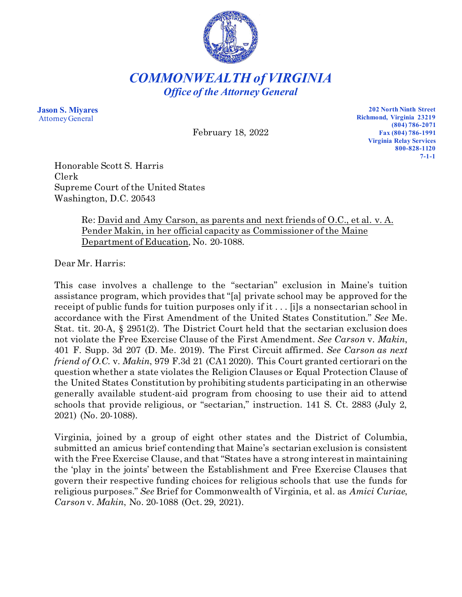

*COMMONWEALTH of VIRGINIA Office of the Attorney General*

**Jason S. Miyares** Attorney General

February 18, 2022

**202 North Ninth Street Richmond, Virginia 23219 (804) 786-2071 Fax (804) 786-1991 Virginia Relay Services 800-828-1120 7-1-1**

Honorable Scott S. Harris Clerk Supreme Court of the United States Washington, D.C. 20543

## Re: David and Amy Carson, as parents and next friends of O.C., et al. v. A. Pender Makin, in her official capacity as Commissioner of the Maine Department of Education, No. 20-1088.

Dear Mr. Harris:

This case involves a challenge to the "sectarian" exclusion in Maine's tuition assistance program, which provides that "[a] private school may be approved for the receipt of public funds for tuition purposes only if it . . . [i]s a nonsectarian school in accordance with the First Amendment of the United States Constitution." *See* Me. Stat. tit. 20-A, § 2951(2). The District Court held that the sectarian exclusion does not violate the Free Exercise Clause of the First Amendment. *See Carson* v. *Makin*, 401 F. Supp. 3d 207 (D. Me. 2019). The First Circuit affirmed. *See Carson as next friend of O.C.* v. *Makin*, 979 F.3d 21 (CA1 2020). This Court granted certiorari on the question whether a state violates the Religion Clauses or Equal Protection Clause of the United States Constitution by prohibiting students participating in an otherwise generally available student-aid program from choosing to use their aid to attend schools that provide religious, or "sectarian," instruction. 141 S. Ct. 2883 (July 2, 2021) (No. 20-1088).

Virginia, joined by a group of eight other states and the District of Columbia, submitted an amicus brief contending that Maine's sectarian exclusion is consistent with the Free Exercise Clause, and that "States have a strong interest in maintaining the 'play in the joints' between the Establishment and Free Exercise Clauses that govern their respective funding choices for religious schools that use the funds for religious purposes." *See* Brief for Commonwealth of Virginia, et al. as *Amici Curiae*, *Carson* v. *Makin*, No. 20-1088 (Oct. 29, 2021).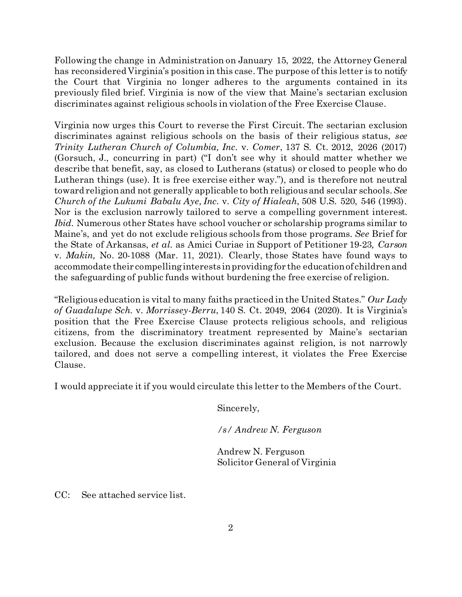Following the change in Administration on January 15, 2022, the Attorney General has reconsidered Virginia's position in this case. The purpose of this letter is to notify the Court that Virginia no longer adheres to the arguments contained in its previously filed brief. Virginia is now of the view that Maine's sectarian exclusion discriminates against religious schools in violation of the Free Exercise Clause.

Virginia now urges this Court to reverse the First Circuit. The sectarian exclusion discriminates against religious schools on the basis of their religious status, *see Trinity Lutheran Church of Columbia, Inc.* v. *Comer*, 137 S. Ct. 2012, 2026 (2017) (Gorsuch, J., concurring in part) ("I don't see why it should matter whether we describe that benefit, say, as closed to Lutherans (status) or closed to people who do Lutheran things (use). It is free exercise either way."), and is therefore not neutral toward religion and not generally applicable to both religious and secular schools. *See Church of the Lukumi Babalu Aye, Inc.* v. *City of Hialeah*, 508 U.S. 520, 546 (1993). Nor is the exclusion narrowly tailored to serve a compelling government interest. *Ibid*. Numerous other States have school voucher or scholarship programs similar to Maine's, and yet do not exclude religious schools from those programs. *See* Brief for the State of Arkansas, *et al.* as Amici Curiae in Support of Petitioner 19-23*, Carson*  v. *Makin,* No. 20-1088 (Mar. 11, 2021). Clearly, those States have found ways to accommodate their compelling interests in providing for the education of children and the safeguarding of public funds without burdening the free exercise of religion.

"Religious education is vital to many faiths practiced in the United States." *Our Lady of Guadalupe Sch.* v. *Morrissey-Berru*, 140 S. Ct. 2049, 2064 (2020). It is Virginia's position that the Free Exercise Clause protects religious schools, and religious citizens, from the discriminatory treatment represented by Maine's sectarian exclusion. Because the exclusion discriminates against religion, is not narrowly tailored, and does not serve a compelling interest, it violates the Free Exercise Clause.

I would appreciate it if you would circulate this letter to the Members of the Court.

Sincerely,

*/s/ Andrew N. Ferguson*

Andrew N. Ferguson Solicitor General of Virginia

CC: See attached service list.